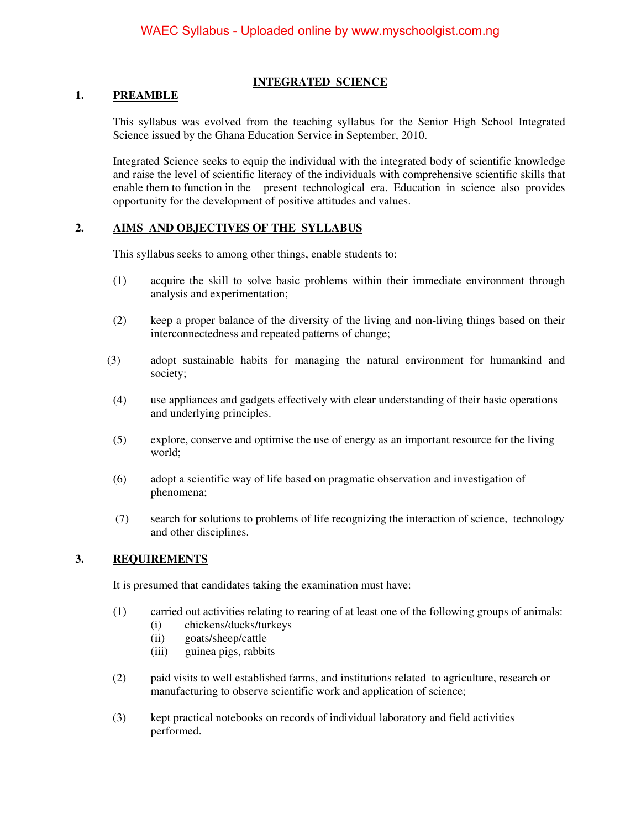#### **INTEGRATED SCIENCE**

#### **1. PREAMBLE**

This syllabus was evolved from the teaching syllabus for the Senior High School Integrated Science issued by the Ghana Education Service in September, 2010.

Integrated Science seeks to equip the individual with the integrated body of scientific knowledge and raise the level of scientific literacy of the individuals with comprehensive scientific skills that enable them to function in the present technological era. Education in science also provides opportunity for the development of positive attitudes and values.

#### **2. AIMS AND OBJECTIVES OF THE SYLLABUS**

This syllabus seeks to among other things, enable students to:

- (1) acquire the skill to solve basic problems within their immediate environment through analysis and experimentation;
- (2) keep a proper balance of the diversity of the living and non-living things based on their interconnectedness and repeated patterns of change;
- (3) adopt sustainable habits for managing the natural environment for humankind and society;
- (4) use appliances and gadgets effectively with clear understanding of their basic operations and underlying principles.
- (5) explore, conserve and optimise the use of energy as an important resource for the living world;
- (6) adopt a scientific way of life based on pragmatic observation and investigation of phenomena;
- (7) search for solutions to problems of life recognizing the interaction of science, technology and other disciplines.

#### **3. REQUIREMENTS**

It is presumed that candidates taking the examination must have:

- (1) carried out activities relating to rearing of at least one of the following groups of animals:
	- (i) chickens/ducks/turkeys
	- (ii) goats/sheep/cattle
	- (iii) guinea pigs, rabbits
- (2) paid visits to well established farms, and institutions related to agriculture, research or manufacturing to observe scientific work and application of science;
- (3) kept practical notebooks on records of individual laboratory and field activities performed.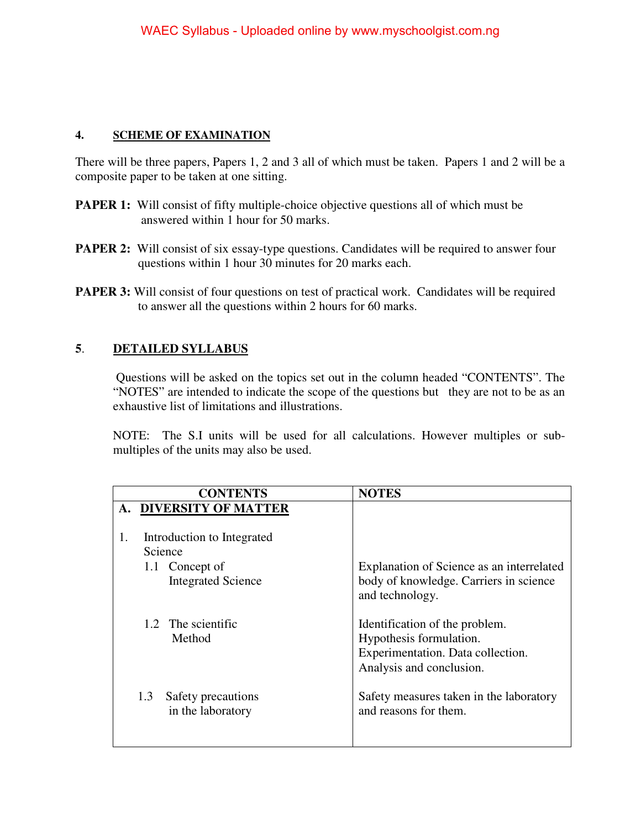#### **4. SCHEME OF EXAMINATION**

There will be three papers, Papers 1, 2 and 3 all of which must be taken. Papers 1 and 2 will be a composite paper to be taken at one sitting.

- **PAPER 1:** Will consist of fifty multiple-choice objective questions all of which must be answered within 1 hour for 50 marks.
- **PAPER 2:** Will consist of six essay-type questions. Candidates will be required to answer four questions within 1 hour 30 minutes for 20 marks each.
- **PAPER 3:** Will consist of four questions on test of practical work. Candidates will be required to answer all the questions within 2 hours for 60 marks.

### **5**. **DETAILED SYLLABUS**

 Questions will be asked on the topics set out in the column headed "CONTENTS". The "NOTES" are intended to indicate the scope of the questions but they are not to be as an exhaustive list of limitations and illustrations.

 NOTE: The S.I units will be used for all calculations. However multiples or submultiples of the units may also be used.

|     | <b>CONTENTS</b>                         | <b>NOTES</b>                                                     |
|-----|-----------------------------------------|------------------------------------------------------------------|
|     | A. DIVERSITY OF MATTER                  |                                                                  |
|     |                                         |                                                                  |
| 1.  | Introduction to Integrated              |                                                                  |
|     | Science                                 |                                                                  |
|     | 1.1 Concept of                          | Explanation of Science as an interrelated                        |
|     | <b>Integrated Science</b>               | body of knowledge. Carriers in science<br>and technology.        |
|     | 1.2 The scientific                      | Identification of the problem.                                   |
|     | Method                                  | Hypothesis formulation.                                          |
|     |                                         | Experimentation. Data collection.                                |
|     |                                         | Analysis and conclusion.                                         |
| 1.3 | Safety precautions<br>in the laboratory | Safety measures taken in the laboratory<br>and reasons for them. |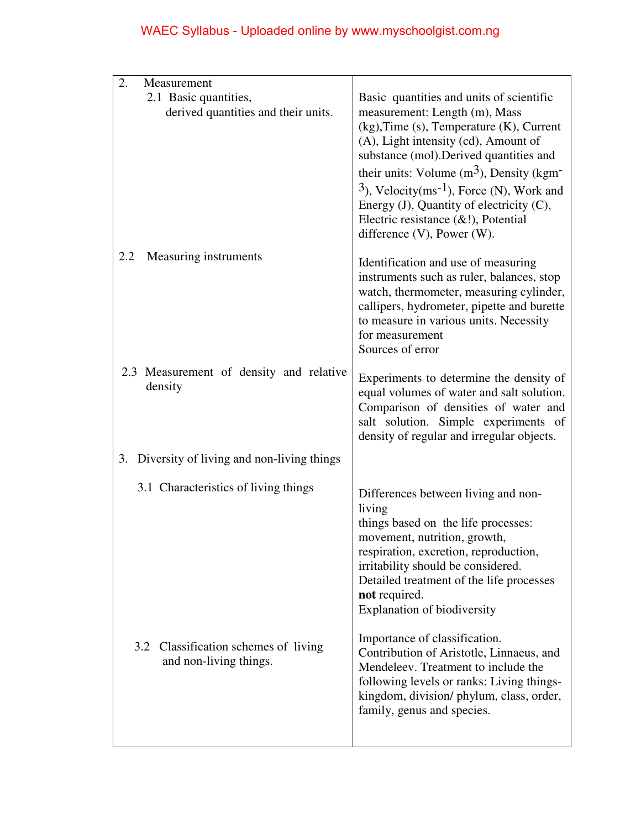| 2.<br>Measurement                                                 |                                                                                                                                                                                                                                                                                                                                                                                                                                                           |
|-------------------------------------------------------------------|-----------------------------------------------------------------------------------------------------------------------------------------------------------------------------------------------------------------------------------------------------------------------------------------------------------------------------------------------------------------------------------------------------------------------------------------------------------|
| 2.1 Basic quantities,<br>derived quantities and their units.      | Basic quantities and units of scientific<br>measurement: Length (m), Mass<br>(kg), Time (s), Temperature (K), Current<br>(A), Light intensity (cd), Amount of<br>substance (mol). Derived quantities and<br>their units: Volume $(m^3)$ , Density (kgm <sup>-</sup><br>$3$ ), Velocity(ms <sup>-1</sup> ), Force (N), Work and<br>Energy (J), Quantity of electricity (C),<br>Electric resistance $(\&$ !), Potential<br>difference $(V)$ , Power $(W)$ . |
| Measuring instruments<br>2.2                                      | Identification and use of measuring<br>instruments such as ruler, balances, stop<br>watch, thermometer, measuring cylinder,<br>callipers, hydrometer, pipette and burette<br>to measure in various units. Necessity<br>for measurement<br>Sources of error                                                                                                                                                                                                |
| 2.3 Measurement of density and relative<br>density                | Experiments to determine the density of<br>equal volumes of water and salt solution.<br>Comparison of densities of water and<br>salt solution. Simple experiments of<br>density of regular and irregular objects.                                                                                                                                                                                                                                         |
| 3. Diversity of living and non-living things                      |                                                                                                                                                                                                                                                                                                                                                                                                                                                           |
| 3.1 Characteristics of living things                              | Differences between living and non-<br>living<br>things based on the life processes:<br>movement, nutrition, growth,<br>respiration, excretion, reproduction,<br>irritability should be considered.<br>Detailed treatment of the life processes<br>not required.<br>Explanation of biodiversity                                                                                                                                                           |
| Classification schemes of living<br>3.2<br>and non-living things. | Importance of classification.<br>Contribution of Aristotle, Linnaeus, and<br>Mendeleev. Treatment to include the<br>following levels or ranks: Living things-<br>kingdom, division/phylum, class, order,<br>family, genus and species.                                                                                                                                                                                                                    |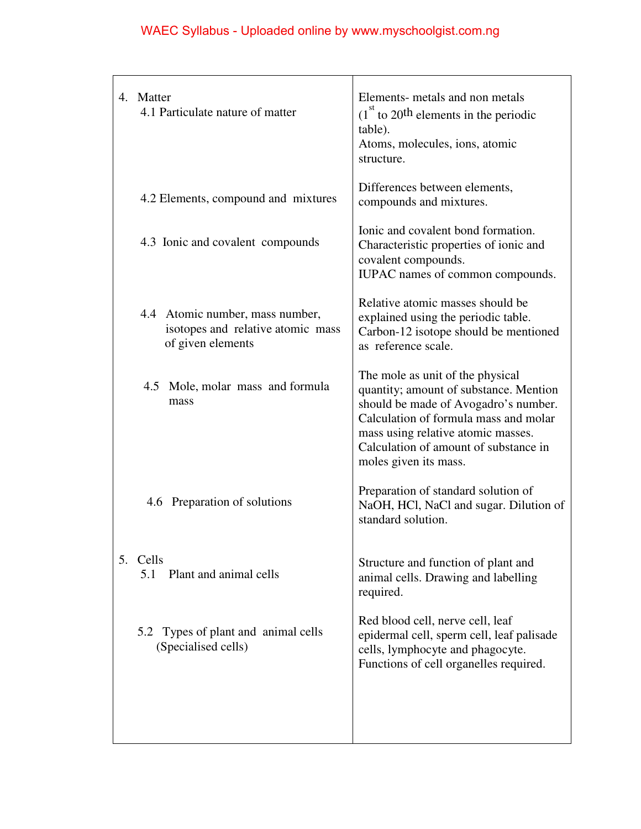|    | 4 Matter<br>4.1 Particulate nature of matter                                              | Elements- metals and non metals<br>$(1st$ to 20 <sup>th</sup> elements in the periodic<br>table).<br>Atoms, molecules, ions, atomic<br>structure.                                                                                                                   |
|----|-------------------------------------------------------------------------------------------|---------------------------------------------------------------------------------------------------------------------------------------------------------------------------------------------------------------------------------------------------------------------|
|    | 4.2 Elements, compound and mixtures                                                       | Differences between elements,<br>compounds and mixtures.                                                                                                                                                                                                            |
|    | 4.3 Ionic and covalent compounds                                                          | Ionic and covalent bond formation.<br>Characteristic properties of ionic and<br>covalent compounds.<br>IUPAC names of common compounds.                                                                                                                             |
|    | 4.4 Atomic number, mass number,<br>isotopes and relative atomic mass<br>of given elements | Relative atomic masses should be<br>explained using the periodic table.<br>Carbon-12 isotope should be mentioned<br>as reference scale.                                                                                                                             |
|    | 4.5 Mole, molar mass and formula<br>mass                                                  | The mole as unit of the physical<br>quantity; amount of substance. Mention<br>should be made of Avogadro's number.<br>Calculation of formula mass and molar<br>mass using relative atomic masses.<br>Calculation of amount of substance in<br>moles given its mass. |
|    | 4.6 Preparation of solutions                                                              | Preparation of standard solution of<br>NaOH, HCl, NaCl and sugar. Dilution of<br>standard solution.                                                                                                                                                                 |
| 5. | Cells<br>Plant and animal cells<br>5.1                                                    | Structure and function of plant and<br>animal cells. Drawing and labelling<br>required.                                                                                                                                                                             |
|    | 5.2 Types of plant and animal cells<br>(Specialised cells)                                | Red blood cell, nerve cell, leaf<br>epidermal cell, sperm cell, leaf palisade<br>cells, lymphocyte and phagocyte.<br>Functions of cell organelles required.                                                                                                         |
|    |                                                                                           |                                                                                                                                                                                                                                                                     |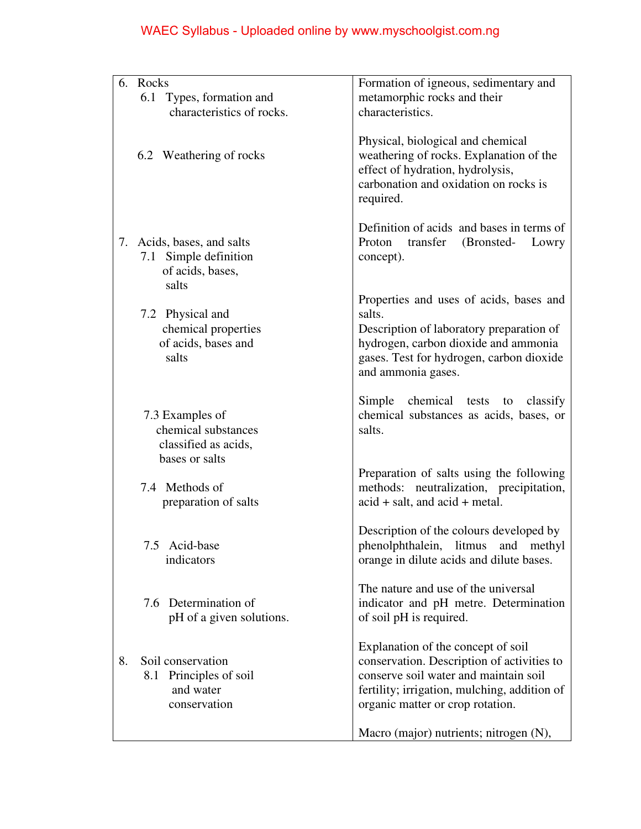|    | 6. Rocks                                                                         | Formation of igneous, sedimentary and                                                                                                                                                                         |
|----|----------------------------------------------------------------------------------|---------------------------------------------------------------------------------------------------------------------------------------------------------------------------------------------------------------|
|    | 6.1 Types, formation and                                                         | metamorphic rocks and their                                                                                                                                                                                   |
|    | characteristics of rocks.                                                        | characteristics.                                                                                                                                                                                              |
|    |                                                                                  |                                                                                                                                                                                                               |
|    | 6.2 Weathering of rocks                                                          | Physical, biological and chemical<br>weathering of rocks. Explanation of the<br>effect of hydration, hydrolysis,<br>carbonation and oxidation on rocks is<br>required.                                        |
|    | 7. Acids, bases, and salts<br>7.1 Simple definition<br>of acids, bases,<br>salts | Definition of acids and bases in terms of<br>Proton<br>transfer<br>(Bronsted-<br>Lowry<br>concept).                                                                                                           |
|    |                                                                                  | Properties and uses of acids, bases and                                                                                                                                                                       |
|    | 7.2 Physical and                                                                 | salts.                                                                                                                                                                                                        |
|    | chemical properties                                                              | Description of laboratory preparation of                                                                                                                                                                      |
|    | of acids, bases and                                                              | hydrogen, carbon dioxide and ammonia                                                                                                                                                                          |
|    | salts                                                                            | gases. Test for hydrogen, carbon dioxide                                                                                                                                                                      |
|    |                                                                                  | and ammonia gases.                                                                                                                                                                                            |
|    | 7.3 Examples of<br>chemical substances<br>classified as acids,<br>bases or salts | chemical<br>Simple<br>classify<br>tests<br>to<br>chemical substances as acids, bases, or<br>salts.                                                                                                            |
|    |                                                                                  | Preparation of salts using the following                                                                                                                                                                      |
|    | 7.4 Methods of<br>preparation of salts                                           | methods: neutralization, precipitation,<br>$\alpha$ acid + salt, and $\alpha$ cid + metal.                                                                                                                    |
|    | 7.5 Acid-base<br>indicators                                                      | Description of the colours developed by<br>phenolphthalein, litmus<br>and<br>methyl<br>orange in dilute acids and dilute bases.                                                                               |
|    | 7.6 Determination of<br>pH of a given solutions.                                 | The nature and use of the universal<br>indicator and pH metre. Determination<br>of soil pH is required.                                                                                                       |
| 8. | Soil conservation<br>8.1 Principles of soil<br>and water<br>conservation         | Explanation of the concept of soil<br>conservation. Description of activities to<br>conserve soil water and maintain soil<br>fertility; irrigation, mulching, addition of<br>organic matter or crop rotation. |
|    |                                                                                  | Macro (major) nutrients; nitrogen (N),                                                                                                                                                                        |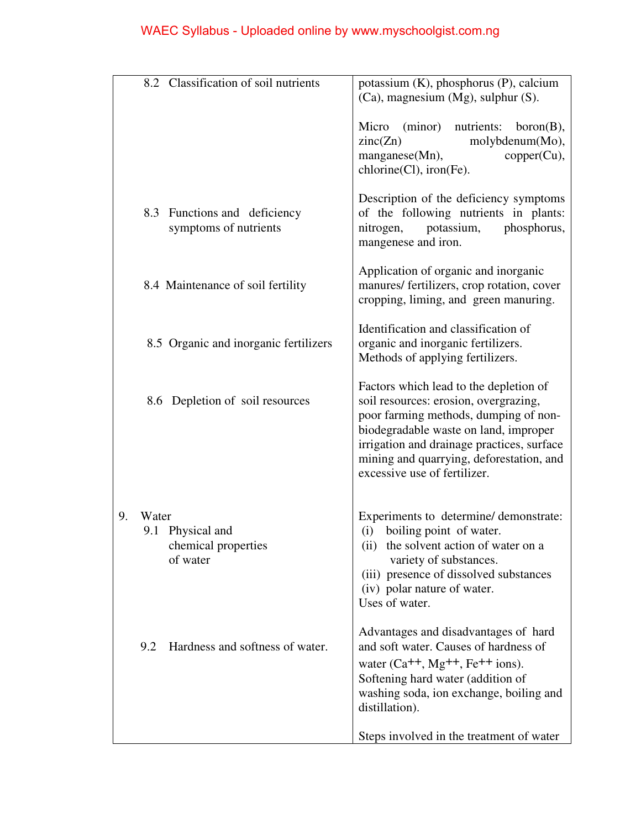|    |       | 8.2 Classification of soil nutrients                  | potassium (K), phosphorus (P), calcium<br>(Ca), magnesium (Mg), sulphur (S).                                                                                                                                                                                                                |
|----|-------|-------------------------------------------------------|---------------------------------------------------------------------------------------------------------------------------------------------------------------------------------------------------------------------------------------------------------------------------------------------|
|    |       |                                                       | (minor) nutrients:<br>Micro<br>born(B),<br>zinc(Zn)<br>molybdenum(Mo),<br>manganese(Mn),<br>$copper(Cu)$ ,<br>chlorine(Cl), iron(Fe).                                                                                                                                                       |
|    |       | 8.3 Functions and deficiency<br>symptoms of nutrients | Description of the deficiency symptoms<br>of the following nutrients in plants:<br>potassium,<br>phosphorus,<br>nitrogen,<br>mangenese and iron.                                                                                                                                            |
|    |       | 8.4 Maintenance of soil fertility                     | Application of organic and inorganic<br>manures/ fertilizers, crop rotation, cover<br>cropping, liming, and green manuring.                                                                                                                                                                 |
|    |       | 8.5 Organic and inorganic fertilizers                 | Identification and classification of<br>organic and inorganic fertilizers.<br>Methods of applying fertilizers.                                                                                                                                                                              |
|    |       | 8.6 Depletion of soil resources                       | Factors which lead to the depletion of<br>soil resources: erosion, overgrazing,<br>poor farming methods, dumping of non-<br>biodegradable waste on land, improper<br>irrigation and drainage practices, surface<br>mining and quarrying, deforestation, and<br>excessive use of fertilizer. |
| 9. | Water | 9.1 Physical and<br>chemical properties<br>of water   | Experiments to determine/demonstrate:<br>boiling point of water.<br>(i)<br>(ii)<br>the solvent action of water on a<br>variety of substances.<br>(iii) presence of dissolved substances<br>(iv) polar nature of water.<br>Uses of water.                                                    |
|    | 9.2   | Hardness and softness of water.                       | Advantages and disadvantages of hard<br>and soft water. Causes of hardness of<br>water $(Ca^{++}$ , Mg <sup>++</sup> , Fe <sup>++</sup> ions).<br>Softening hard water (addition of<br>washing soda, ion exchange, boiling and<br>distillation).                                            |
|    |       |                                                       | Steps involved in the treatment of water                                                                                                                                                                                                                                                    |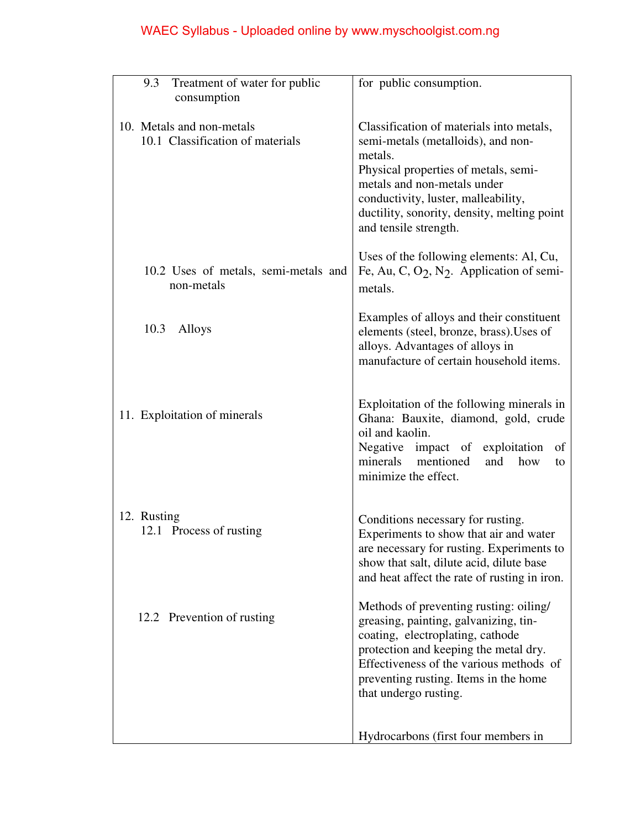|             | 9.3 Treatment of water for public                             | for public consumption.                                                                                                                                                                                                                                                         |
|-------------|---------------------------------------------------------------|---------------------------------------------------------------------------------------------------------------------------------------------------------------------------------------------------------------------------------------------------------------------------------|
|             | consumption                                                   |                                                                                                                                                                                                                                                                                 |
|             | 10. Metals and non-metals<br>10.1 Classification of materials | Classification of materials into metals,<br>semi-metals (metalloids), and non-<br>metals.<br>Physical properties of metals, semi-<br>metals and non-metals under<br>conductivity, luster, malleability,<br>ductility, sonority, density, melting point<br>and tensile strength. |
|             | 10.2 Uses of metals, semi-metals and<br>non-metals            | Uses of the following elements: Al, Cu,<br>Fe, Au, C, O <sub>2</sub> , N <sub>2</sub> . Application of semi-<br>metals.                                                                                                                                                         |
|             | 10.3<br>Alloys                                                | Examples of alloys and their constituent<br>elements (steel, bronze, brass). Uses of<br>alloys. Advantages of alloys in<br>manufacture of certain household items.                                                                                                              |
|             | 11. Exploitation of minerals                                  | Exploitation of the following minerals in<br>Ghana: Bauxite, diamond, gold, crude<br>oil and kaolin.<br>Negative impact of exploitation<br>οf<br>minerals mentioned<br>and<br>how<br>to<br>minimize the effect.                                                                 |
| 12. Rusting | 12.1 Process of rusting                                       | Conditions necessary for rusting.<br>Experiments to show that air and water<br>are necessary for rusting. Experiments to<br>show that salt, dilute acid, dilute base<br>and heat affect the rate of rusting in iron.                                                            |
|             | 12.2 Prevention of rusting                                    | Methods of preventing rusting: oiling/<br>greasing, painting, galvanizing, tin-<br>coating, electroplating, cathode<br>protection and keeping the metal dry.<br>Effectiveness of the various methods of<br>preventing rusting. Items in the home<br>that undergo rusting.       |
|             |                                                               | Hydrocarbons (first four members in                                                                                                                                                                                                                                             |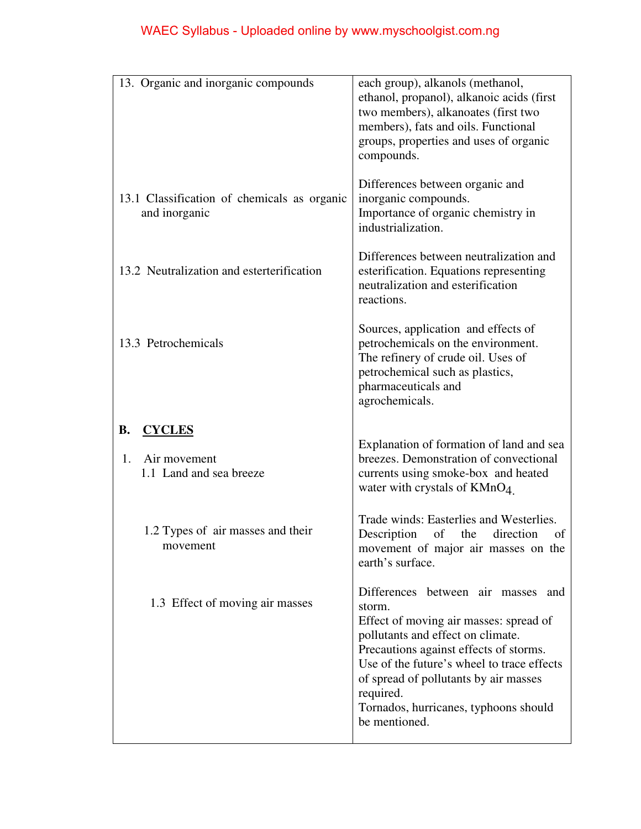| 13. Organic and inorganic compounds                                         | each group), alkanols (methanol,<br>ethanol, propanol), alkanoic acids (first<br>two members), alkanoates (first two<br>members), fats and oils. Functional<br>groups, properties and uses of organic<br>compounds.                                                                                                                 |
|-----------------------------------------------------------------------------|-------------------------------------------------------------------------------------------------------------------------------------------------------------------------------------------------------------------------------------------------------------------------------------------------------------------------------------|
| 13.1 Classification of chemicals as organic<br>and inorganic                | Differences between organic and<br>inorganic compounds.<br>Importance of organic chemistry in<br>industrialization.                                                                                                                                                                                                                 |
| 13.2 Neutralization and esterterification                                   | Differences between neutralization and<br>esterification. Equations representing<br>neutralization and esterification<br>reactions.                                                                                                                                                                                                 |
| 13.3 Petrochemicals                                                         | Sources, application and effects of<br>petrochemicals on the environment.<br>The refinery of crude oil. Uses of<br>petrochemical such as plastics,<br>pharmaceuticals and<br>agrochemicals.                                                                                                                                         |
| <b>B.</b><br><b>CYCLES</b><br>Air movement<br>1.<br>1.1 Land and sea breeze | Explanation of formation of land and sea<br>breezes. Demonstration of convectional<br>currents using smoke-box and heated<br>water with crystals of $KMnO4$ .                                                                                                                                                                       |
| 1.2 Types of air masses and their<br>movement                               | Trade winds: Easterlies and Westerlies.<br>Description<br>the<br>of<br>direction<br>of<br>movement of major air masses on the<br>earth's surface.                                                                                                                                                                                   |
| 1.3 Effect of moving air masses                                             | Differences between air masses and<br>storm.<br>Effect of moving air masses: spread of<br>pollutants and effect on climate.<br>Precautions against effects of storms.<br>Use of the future's wheel to trace effects<br>of spread of pollutants by air masses<br>required.<br>Tornados, hurricanes, typhoons should<br>be mentioned. |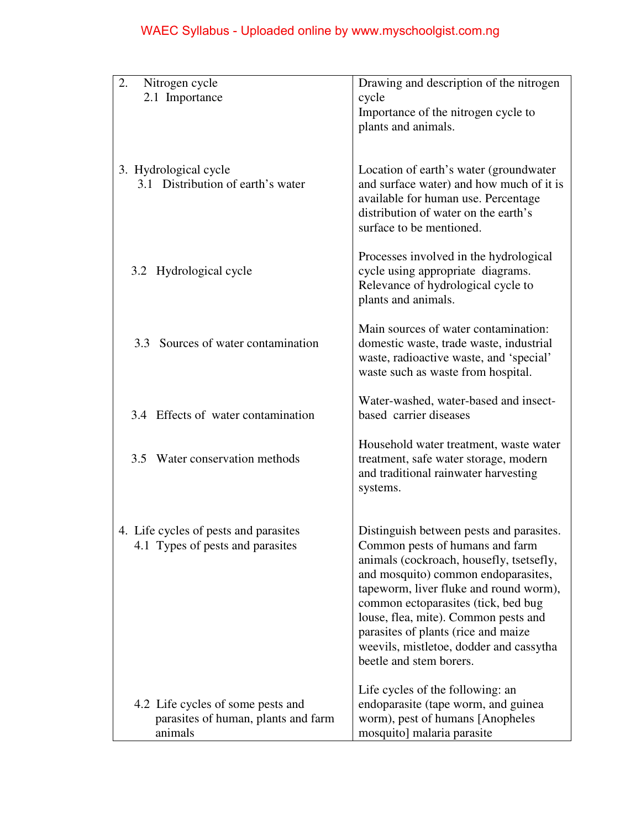| 2.<br>Nitrogen cycle                                                                | Drawing and description of the nitrogen                                                                                                                                                                                                                                                                                                                                                              |
|-------------------------------------------------------------------------------------|------------------------------------------------------------------------------------------------------------------------------------------------------------------------------------------------------------------------------------------------------------------------------------------------------------------------------------------------------------------------------------------------------|
| 2.1 Importance                                                                      | cycle                                                                                                                                                                                                                                                                                                                                                                                                |
|                                                                                     | Importance of the nitrogen cycle to<br>plants and animals.                                                                                                                                                                                                                                                                                                                                           |
|                                                                                     |                                                                                                                                                                                                                                                                                                                                                                                                      |
| 3. Hydrological cycle<br>3.1 Distribution of earth's water                          | Location of earth's water (groundwater)<br>and surface water) and how much of it is<br>available for human use. Percentage<br>distribution of water on the earth's<br>surface to be mentioned.                                                                                                                                                                                                       |
| 3.2 Hydrological cycle                                                              | Processes involved in the hydrological<br>cycle using appropriate diagrams.<br>Relevance of hydrological cycle to<br>plants and animals.                                                                                                                                                                                                                                                             |
| 3.3 Sources of water contamination                                                  | Main sources of water contamination:<br>domestic waste, trade waste, industrial<br>waste, radioactive waste, and 'special'<br>waste such as waste from hospital.                                                                                                                                                                                                                                     |
| 3.4 Effects of water contamination                                                  | Water-washed, water-based and insect-<br>based carrier diseases                                                                                                                                                                                                                                                                                                                                      |
| 3.5 Water conservation methods                                                      | Household water treatment, waste water<br>treatment, safe water storage, modern<br>and traditional rainwater harvesting<br>systems.                                                                                                                                                                                                                                                                  |
| 4. Life cycles of pests and parasites<br>4.1 Types of pests and parasites           | Distinguish between pests and parasites.<br>Common pests of humans and farm<br>animals (cockroach, housefly, tsetsefly,<br>and mosquito) common endoparasites,<br>tapeworm, liver fluke and round worm),<br>common ectoparasites (tick, bed bug<br>louse, flea, mite). Common pests and<br>parasites of plants (rice and maize<br>weevils, mistletoe, dodder and cassytha<br>beetle and stem borers. |
| 4.2 Life cycles of some pests and<br>parasites of human, plants and farm<br>animals | Life cycles of the following: an<br>endoparasite (tape worm, and guinea<br>worm), pest of humans [Anopheles<br>mosquito] malaria parasite                                                                                                                                                                                                                                                            |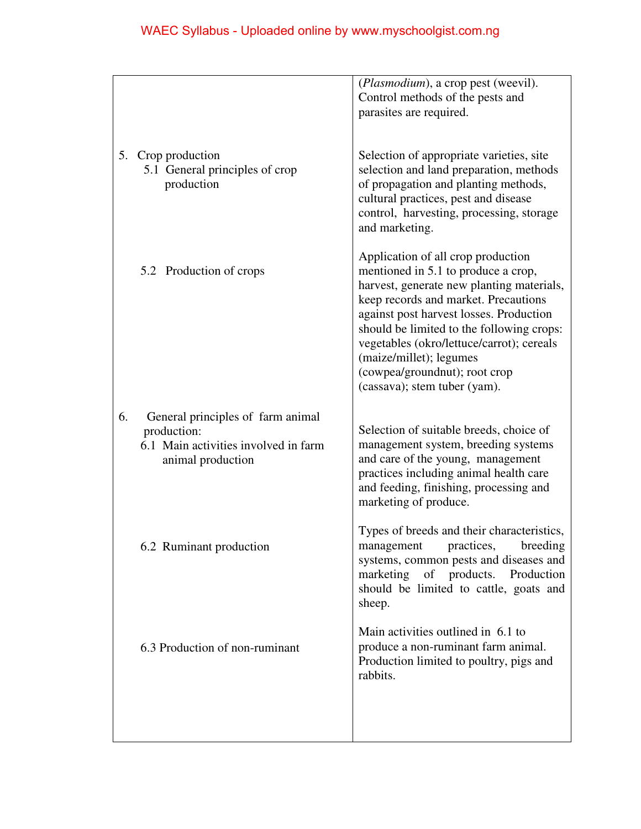|    |                                                                                                               | ( <i>Plasmodium</i> ), a crop pest (weevil).<br>Control methods of the pests and<br>parasites are required.                                                                                                                                                                                                                                                                                     |
|----|---------------------------------------------------------------------------------------------------------------|-------------------------------------------------------------------------------------------------------------------------------------------------------------------------------------------------------------------------------------------------------------------------------------------------------------------------------------------------------------------------------------------------|
|    | 5. Crop production<br>5.1 General principles of crop<br>production                                            | Selection of appropriate varieties, site<br>selection and land preparation, methods<br>of propagation and planting methods,<br>cultural practices, pest and disease<br>control, harvesting, processing, storage<br>and marketing.                                                                                                                                                               |
|    | 5.2 Production of crops                                                                                       | Application of all crop production<br>mentioned in 5.1 to produce a crop,<br>harvest, generate new planting materials,<br>keep records and market. Precautions<br>against post harvest losses. Production<br>should be limited to the following crops:<br>vegetables (okro/lettuce/carrot); cereals<br>(maize/millet); legumes<br>(cowpea/groundnut); root crop<br>(cassava); stem tuber (yam). |
| 6. | General principles of farm animal<br>production:<br>6.1 Main activities involved in farm<br>animal production | Selection of suitable breeds, choice of<br>management system, breeding systems<br>and care of the young, management<br>practices including animal health care<br>and feeding, finishing, processing and<br>marketing of produce.                                                                                                                                                                |
|    | 6.2 Ruminant production                                                                                       | Types of breeds and their characteristics,<br>practices,<br>breeding<br>management<br>systems, common pests and diseases and<br>marketing of products. Production<br>should be limited to cattle, goats and<br>sheep.                                                                                                                                                                           |
|    | 6.3 Production of non-ruminant                                                                                | Main activities outlined in 6.1 to<br>produce a non-ruminant farm animal.<br>Production limited to poultry, pigs and<br>rabbits.                                                                                                                                                                                                                                                                |
|    |                                                                                                               |                                                                                                                                                                                                                                                                                                                                                                                                 |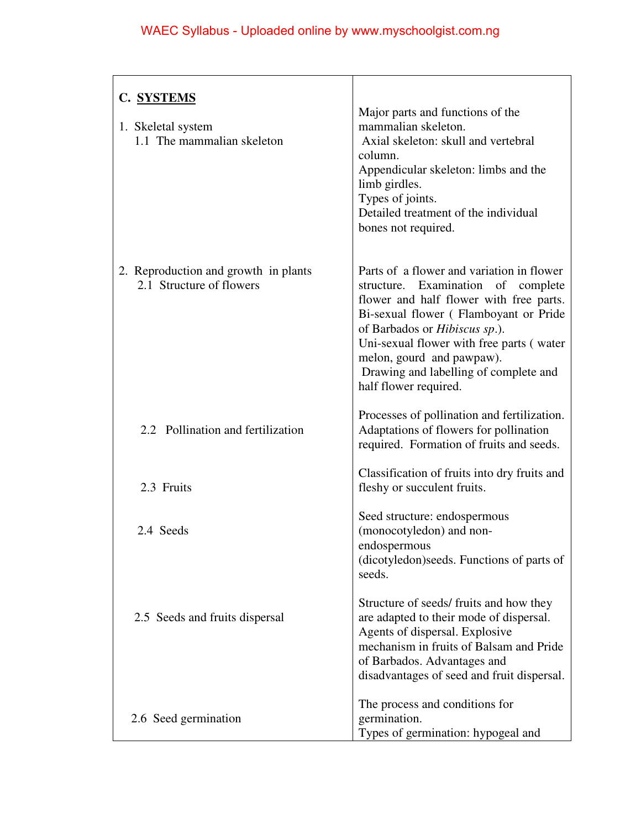| C. SYSTEMS                                                       |                                                                                                                                                                                                                                                                                                                                                 |
|------------------------------------------------------------------|-------------------------------------------------------------------------------------------------------------------------------------------------------------------------------------------------------------------------------------------------------------------------------------------------------------------------------------------------|
| 1. Skeletal system<br>1.1 The mammalian skeleton                 | Major parts and functions of the<br>mammalian skeleton.<br>Axial skeleton: skull and vertebral<br>column.<br>Appendicular skeleton: limbs and the<br>limb girdles.<br>Types of joints.<br>Detailed treatment of the individual<br>bones not required.                                                                                           |
| 2. Reproduction and growth in plants<br>2.1 Structure of flowers | Parts of a flower and variation in flower<br>structure. Examination of complete<br>flower and half flower with free parts.<br>Bi-sexual flower (Flamboyant or Pride<br>of Barbados or Hibiscus sp.).<br>Uni-sexual flower with free parts (water<br>melon, gourd and pawpaw).<br>Drawing and labelling of complete and<br>half flower required. |
| 2.2 Pollination and fertilization                                | Processes of pollination and fertilization.<br>Adaptations of flowers for pollination<br>required. Formation of fruits and seeds.                                                                                                                                                                                                               |
| 2.3 Fruits                                                       | Classification of fruits into dry fruits and<br>fleshy or succulent fruits.                                                                                                                                                                                                                                                                     |
| 2.4 Seeds                                                        | Seed structure: endospermous<br>(monocotyledon) and non-<br>endospermous<br>(dicotyledon) seeds. Functions of parts of<br>seeds.                                                                                                                                                                                                                |
| 2.5 Seeds and fruits dispersal                                   | Structure of seeds/fruits and how they<br>are adapted to their mode of dispersal.<br>Agents of dispersal. Explosive<br>mechanism in fruits of Balsam and Pride<br>of Barbados. Advantages and<br>disadvantages of seed and fruit dispersal.                                                                                                     |
| 2.6 Seed germination                                             | The process and conditions for<br>germination.<br>Types of germination: hypogeal and                                                                                                                                                                                                                                                            |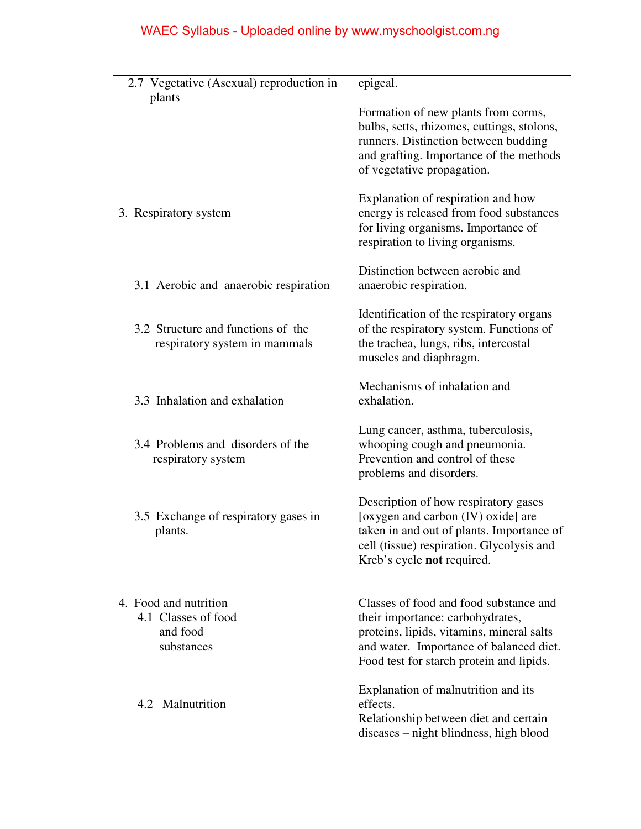| 2.7 Vegetative (Asexual) reproduction in<br>plants                     | epigeal.                                                                                                                                                                                                       |
|------------------------------------------------------------------------|----------------------------------------------------------------------------------------------------------------------------------------------------------------------------------------------------------------|
|                                                                        | Formation of new plants from corms,<br>bulbs, setts, rhizomes, cuttings, stolons,<br>runners. Distinction between budding<br>and grafting. Importance of the methods<br>of vegetative propagation.             |
| 3. Respiratory system                                                  | Explanation of respiration and how<br>energy is released from food substances<br>for living organisms. Importance of<br>respiration to living organisms.                                                       |
| 3.1 Aerobic and anaerobic respiration                                  | Distinction between aerobic and<br>anaerobic respiration.                                                                                                                                                      |
| 3.2 Structure and functions of the<br>respiratory system in mammals    | Identification of the respiratory organs<br>of the respiratory system. Functions of<br>the trachea, lungs, ribs, intercostal<br>muscles and diaphragm.                                                         |
| 3.3 Inhalation and exhalation                                          | Mechanisms of inhalation and<br>exhalation.                                                                                                                                                                    |
| 3.4 Problems and disorders of the<br>respiratory system                | Lung cancer, asthma, tuberculosis,<br>whooping cough and pneumonia.<br>Prevention and control of these<br>problems and disorders.                                                                              |
| 3.5 Exchange of respiratory gases in<br>plants.                        | Description of how respiratory gases<br>[oxygen and carbon (IV) oxide] are<br>taken in and out of plants. Importance of<br>cell (tissue) respiration. Glycolysis and<br>Kreb's cycle not required.             |
| 4. Food and nutrition<br>4.1 Classes of food<br>and food<br>substances | Classes of food and food substance and<br>their importance: carbohydrates,<br>proteins, lipids, vitamins, mineral salts<br>and water. Importance of balanced diet.<br>Food test for starch protein and lipids. |
| Malnutrition<br>4.2                                                    | Explanation of malnutrition and its<br>effects.<br>Relationship between diet and certain<br>diseases – night blindness, high blood                                                                             |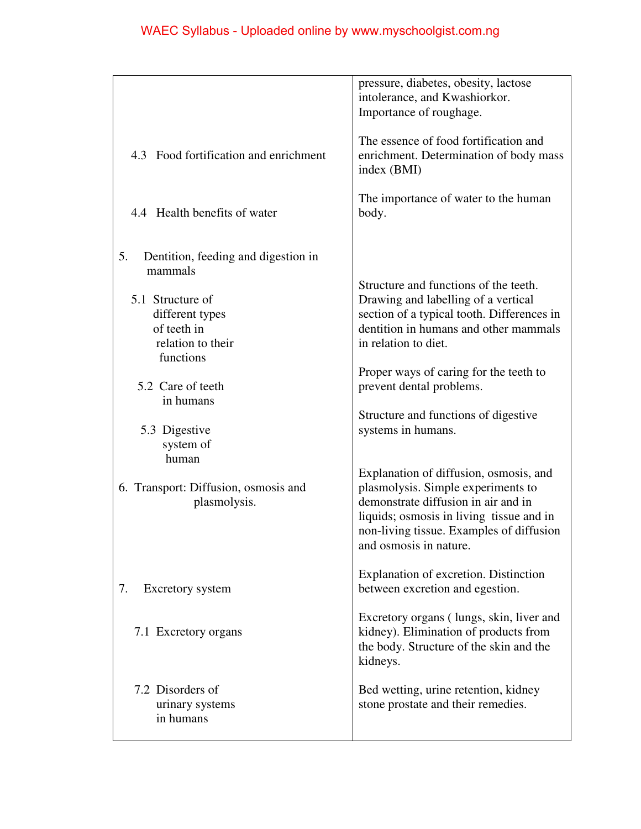|                                                                          | pressure, diabetes, obesity, lactose<br>intolerance, and Kwashiorkor.<br>Importance of roughage.                                                                                                                                      |
|--------------------------------------------------------------------------|---------------------------------------------------------------------------------------------------------------------------------------------------------------------------------------------------------------------------------------|
| 4.3 Food fortification and enrichment                                    | The essence of food fortification and<br>enrichment. Determination of body mass<br>index (BMI)                                                                                                                                        |
| 4.4 Health benefits of water                                             | The importance of water to the human<br>body.                                                                                                                                                                                         |
| 5.<br>Dentition, feeding and digestion in<br>mammals<br>5.1 Structure of | Structure and functions of the teeth.<br>Drawing and labelling of a vertical<br>section of a typical tooth. Differences in                                                                                                            |
| different types<br>of teeth in<br>relation to their<br>functions         | dentition in humans and other mammals<br>in relation to diet.<br>Proper ways of caring for the teeth to                                                                                                                               |
| 5.2 Care of teeth<br>in humans                                           | prevent dental problems.                                                                                                                                                                                                              |
| 5.3 Digestive<br>system of<br>human                                      | Structure and functions of digestive<br>systems in humans.                                                                                                                                                                            |
| 6. Transport: Diffusion, osmosis and<br>plasmolysis.                     | Explanation of diffusion, osmosis, and<br>plasmolysis. Simple experiments to<br>demonstrate diffusion in air and in<br>liquids; osmosis in living tissue and in<br>non-living tissue. Examples of diffusion<br>and osmosis in nature. |
| 7.<br>Excretory system                                                   | Explanation of excretion. Distinction<br>between excretion and egestion.                                                                                                                                                              |
| 7.1 Excretory organs                                                     | Excretory organs (lungs, skin, liver and<br>kidney). Elimination of products from<br>the body. Structure of the skin and the<br>kidneys.                                                                                              |
| 7.2 Disorders of<br>urinary systems<br>in humans                         | Bed wetting, urine retention, kidney<br>stone prostate and their remedies.                                                                                                                                                            |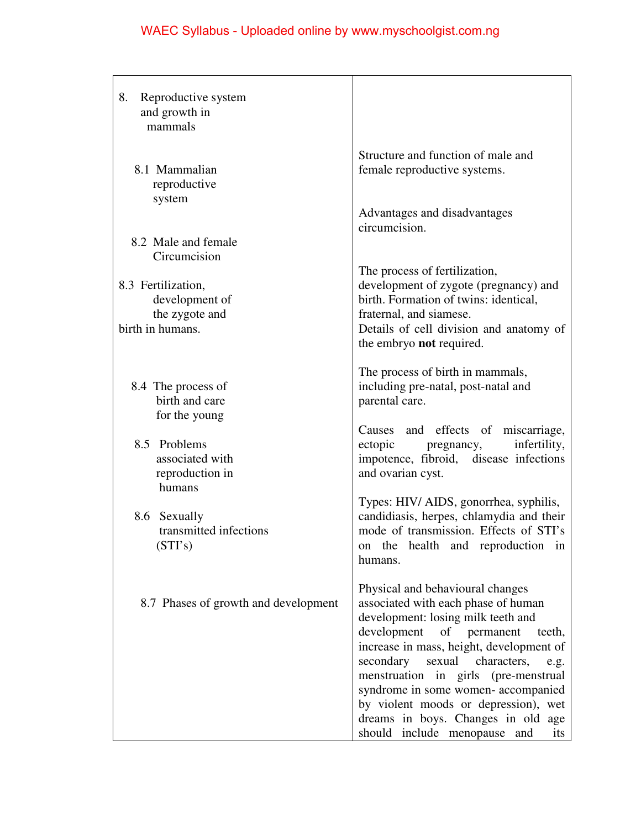| 8.<br>Reproductive system<br>and growth in<br>mammals                      |                                                                                                                                                                                                                                                                                                                                                                                                                                                     |
|----------------------------------------------------------------------------|-----------------------------------------------------------------------------------------------------------------------------------------------------------------------------------------------------------------------------------------------------------------------------------------------------------------------------------------------------------------------------------------------------------------------------------------------------|
| 8.1 Mammalian<br>reproductive<br>system                                    | Structure and function of male and<br>female reproductive systems.                                                                                                                                                                                                                                                                                                                                                                                  |
| 8.2 Male and female<br>Circumcision                                        | Advantages and disadvantages<br>circumcision.                                                                                                                                                                                                                                                                                                                                                                                                       |
| 8.3 Fertilization,<br>development of<br>the zygote and<br>birth in humans. | The process of fertilization,<br>development of zygote (pregnancy) and<br>birth. Formation of twins: identical,<br>fraternal, and siamese.<br>Details of cell division and anatomy of                                                                                                                                                                                                                                                               |
| 8.4 The process of<br>birth and care<br>for the young                      | the embryo not required.<br>The process of birth in mammals,<br>including pre-natal, post-natal and<br>parental care.                                                                                                                                                                                                                                                                                                                               |
| 8.5 Problems<br>associated with<br>reproduction in<br>humans               | and effects of miscarriage,<br>Causes<br>infertility,<br>ectopic<br>pregnancy,<br>impotence, fibroid, disease infections<br>and ovarian cyst.                                                                                                                                                                                                                                                                                                       |
| 8.6 Sexually<br>transmitted infections<br>(STI's)                          | Types: HIV/ AIDS, gonorrhea, syphilis,<br>candidiasis, herpes, chlamydia and their<br>mode of transmission. Effects of STI's<br>on the health and reproduction in<br>humans.                                                                                                                                                                                                                                                                        |
| 8.7 Phases of growth and development                                       | Physical and behavioural changes<br>associated with each phase of human<br>development: losing milk teeth and<br>development<br>of permanent<br>teeth,<br>increase in mass, height, development of<br>secondary<br>sexual<br>characters,<br>e.g.<br>menstruation in girls (pre-menstrual<br>syndrome in some women-accompanied<br>by violent moods or depression), wet<br>dreams in boys. Changes in old age<br>should include menopause and<br>its |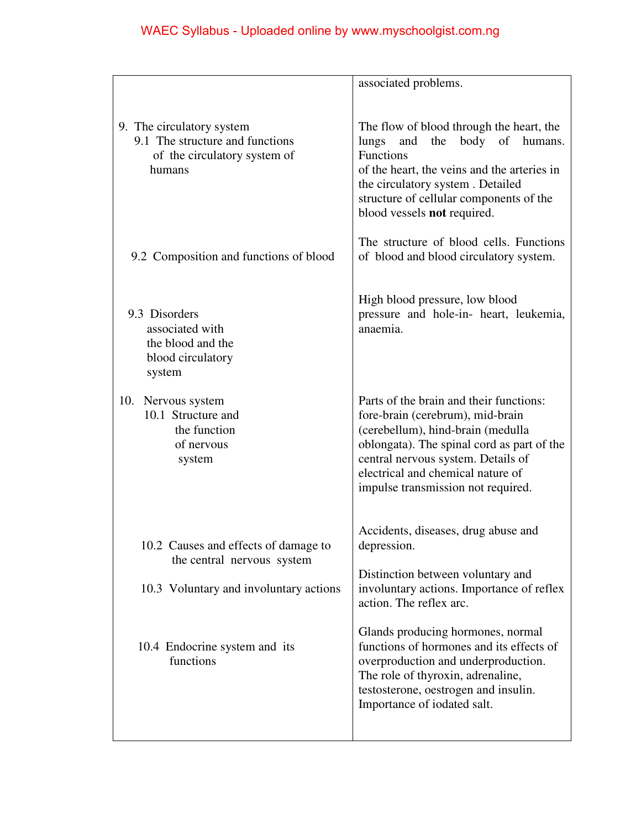|                                                                                                              | associated problems.                                                                                                                                                                                                                                                            |
|--------------------------------------------------------------------------------------------------------------|---------------------------------------------------------------------------------------------------------------------------------------------------------------------------------------------------------------------------------------------------------------------------------|
| 9. The circulatory system<br>9.1 The structure and functions<br>of the circulatory system of<br>humans       | The flow of blood through the heart, the<br>lungs<br>and<br>the<br>body of humans.<br>Functions<br>of the heart, the veins and the arteries in<br>the circulatory system. Detailed<br>structure of cellular components of the<br>blood vessels not required.                    |
| 9.2 Composition and functions of blood                                                                       | The structure of blood cells. Functions<br>of blood and blood circulatory system.                                                                                                                                                                                               |
| 9.3 Disorders<br>associated with<br>the blood and the<br>blood circulatory<br>system                         | High blood pressure, low blood<br>pressure and hole-in- heart, leukemia,<br>anaemia.                                                                                                                                                                                            |
| 10.<br>Nervous system<br>10.1 Structure and<br>the function<br>of nervous<br>system                          | Parts of the brain and their functions:<br>fore-brain (cerebrum), mid-brain<br>(cerebellum), hind-brain (medulla<br>oblongata). The spinal cord as part of the<br>central nervous system. Details of<br>electrical and chemical nature of<br>impulse transmission not required. |
| 10.2 Causes and effects of damage to<br>the central nervous system<br>10.3 Voluntary and involuntary actions | Accidents, diseases, drug abuse and<br>depression.<br>Distinction between voluntary and<br>involuntary actions. Importance of reflex<br>action. The reflex arc.                                                                                                                 |
| 10.4 Endocrine system and its<br>functions                                                                   | Glands producing hormones, normal<br>functions of hormones and its effects of<br>overproduction and underproduction.<br>The role of thyroxin, adrenaline,<br>testosterone, oestrogen and insulin.<br>Importance of iodated salt.                                                |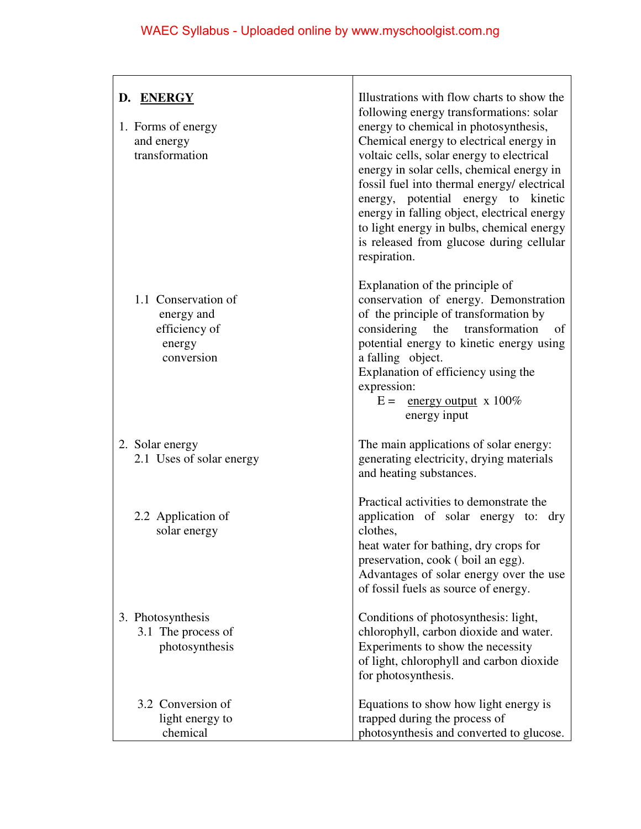| D. ENERGY<br>1. Forms of energy<br>and energy<br>transformation            | Illustrations with flow charts to show the<br>following energy transformations: solar<br>energy to chemical in photosynthesis,<br>Chemical energy to electrical energy in<br>voltaic cells, solar energy to electrical<br>energy in solar cells, chemical energy in<br>fossil fuel into thermal energy/ electrical<br>energy, potential energy to kinetic<br>energy in falling object, electrical energy<br>to light energy in bulbs, chemical energy<br>is released from glucose during cellular<br>respiration. |
|----------------------------------------------------------------------------|-------------------------------------------------------------------------------------------------------------------------------------------------------------------------------------------------------------------------------------------------------------------------------------------------------------------------------------------------------------------------------------------------------------------------------------------------------------------------------------------------------------------|
| 1.1 Conservation of<br>energy and<br>efficiency of<br>energy<br>conversion | Explanation of the principle of<br>conservation of energy. Demonstration<br>of the principle of transformation by<br>considering<br>transformation<br>the<br>of<br>potential energy to kinetic energy using<br>a falling object.<br>Explanation of efficiency using the<br>expression:<br>$E =$ energy output x 100%<br>energy input                                                                                                                                                                              |
| 2. Solar energy<br>2.1 Uses of solar energy                                | The main applications of solar energy:<br>generating electricity, drying materials<br>and heating substances.                                                                                                                                                                                                                                                                                                                                                                                                     |
| 2.2 Application of<br>solar energy                                         | Practical activities to demonstrate the<br>application of solar energy to: dry<br>clothes,<br>heat water for bathing, dry crops for<br>preservation, cook (boil an egg).<br>Advantages of solar energy over the use<br>of fossil fuels as source of energy.                                                                                                                                                                                                                                                       |
| 3. Photosynthesis<br>3.1 The process of<br>photosynthesis                  | Conditions of photosynthesis: light,<br>chlorophyll, carbon dioxide and water.<br>Experiments to show the necessity<br>of light, chlorophyll and carbon dioxide<br>for photosynthesis.                                                                                                                                                                                                                                                                                                                            |
| 3.2 Conversion of<br>light energy to<br>chemical                           | Equations to show how light energy is<br>trapped during the process of<br>photosynthesis and converted to glucose.                                                                                                                                                                                                                                                                                                                                                                                                |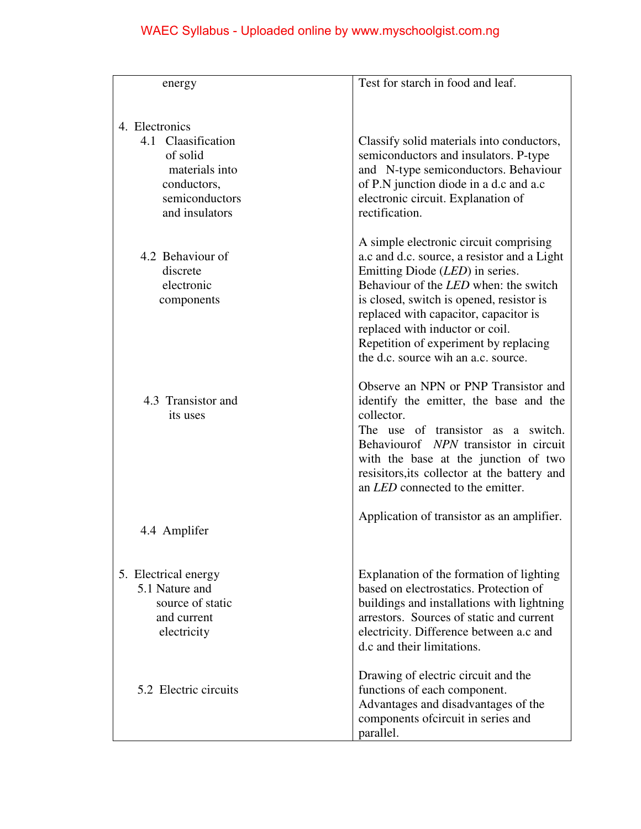| energy                                                                                   | Test for starch in food and leaf.                                                                                                                                                                                                                                                                                                                                                |
|------------------------------------------------------------------------------------------|----------------------------------------------------------------------------------------------------------------------------------------------------------------------------------------------------------------------------------------------------------------------------------------------------------------------------------------------------------------------------------|
| 4. Electronics<br>4.1 Claasification<br>of solid<br>materials into<br>conductors,        | Classify solid materials into conductors,<br>semiconductors and insulators. P-type<br>and N-type semiconductors. Behaviour<br>of P.N junction diode in a d.c and a.c                                                                                                                                                                                                             |
| semiconductors<br>and insulators                                                         | electronic circuit. Explanation of<br>rectification.                                                                                                                                                                                                                                                                                                                             |
| 4.2 Behaviour of<br>discrete<br>electronic<br>components                                 | A simple electronic circuit comprising<br>a.c and d.c. source, a resistor and a Light<br>Emitting Diode (LED) in series.<br>Behaviour of the <i>LED</i> when: the switch<br>is closed, switch is opened, resistor is<br>replaced with capacitor, capacitor is<br>replaced with inductor or coil.<br>Repetition of experiment by replacing<br>the d.c. source wih an a.c. source. |
| 4.3 Transistor and<br>its uses                                                           | Observe an NPN or PNP Transistor and<br>identify the emitter, the base and the<br>collector.<br>The use of transistor as a switch.<br>Behaviourof NPN transistor in circuit<br>with the base at the junction of two<br>resisitors, its collector at the battery and<br>an <i>LED</i> connected to the emitter.                                                                   |
| 4.4 Amplifer                                                                             | Application of transistor as an amplifier.                                                                                                                                                                                                                                                                                                                                       |
| 5. Electrical energy<br>5.1 Nature and<br>source of static<br>and current<br>electricity | Explanation of the formation of lighting<br>based on electrostatics. Protection of<br>buildings and installations with lightning<br>arrestors. Sources of static and current<br>electricity. Difference between a.c and<br>d.c and their limitations.                                                                                                                            |
| 5.2 Electric circuits                                                                    | Drawing of electric circuit and the<br>functions of each component.<br>Advantages and disadvantages of the<br>components ofcircuit in series and<br>parallel.                                                                                                                                                                                                                    |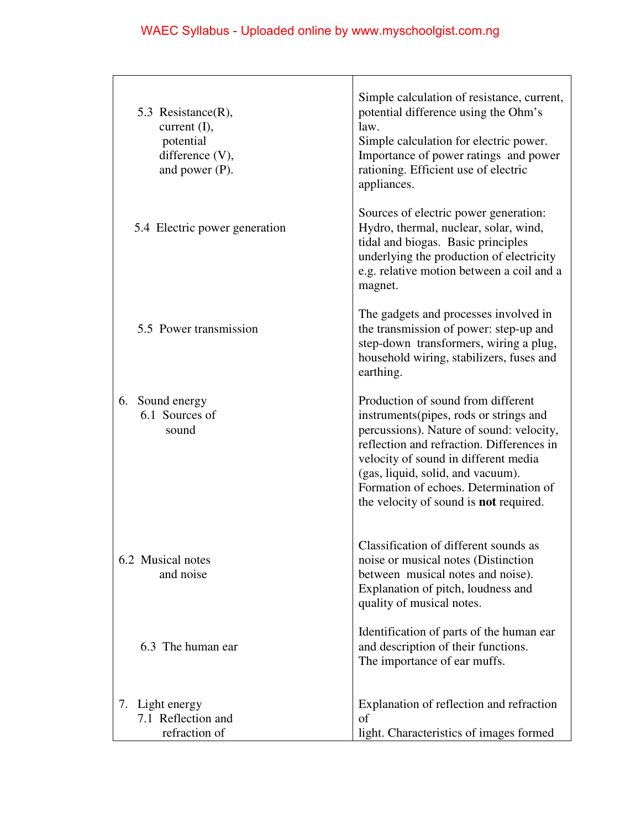| 5.3 Resistance(R),<br>current $(I)$ ,<br>potential<br>difference (V),<br>and power $(P)$ . | Simple calculation of resistance, current,<br>potential difference using the Ohm's<br>law.<br>Simple calculation for electric power.<br>Importance of power ratings and power<br>rationing. Efficient use of electric<br>appliances.                                                                                                  |
|--------------------------------------------------------------------------------------------|---------------------------------------------------------------------------------------------------------------------------------------------------------------------------------------------------------------------------------------------------------------------------------------------------------------------------------------|
| 5.4 Electric power generation                                                              | Sources of electric power generation:<br>Hydro, thermal, nuclear, solar, wind,<br>tidal and biogas. Basic principles<br>underlying the production of electricity<br>e.g. relative motion between a coil and a<br>magnet.                                                                                                              |
| 5.5 Power transmission                                                                     | The gadgets and processes involved in<br>the transmission of power: step-up and<br>step-down transformers, wiring a plug,<br>household wiring, stabilizers, fuses and<br>earthing.                                                                                                                                                    |
| 6. Sound energy<br>6.1 Sources of<br>sound                                                 | Production of sound from different<br>instruments(pipes, rods or strings and<br>percussions). Nature of sound: velocity,<br>reflection and refraction. Differences in<br>velocity of sound in different media<br>(gas, liquid, solid, and vacuum).<br>Formation of echoes. Determination of<br>the velocity of sound is not required. |
| 6.2 Musical notes<br>and noise                                                             | Classification of different sounds as<br>noise or musical notes (Distinction<br>between musical notes and noise).<br>Explanation of pitch, loudness and<br>quality of musical notes.                                                                                                                                                  |
| 6.3 The human ear                                                                          | Identification of parts of the human ear<br>and description of their functions.<br>The importance of ear muffs.                                                                                                                                                                                                                       |
| 7. Light energy<br>7.1 Reflection and<br>refraction of                                     | Explanation of reflection and refraction<br>of<br>light. Characteristics of images formed                                                                                                                                                                                                                                             |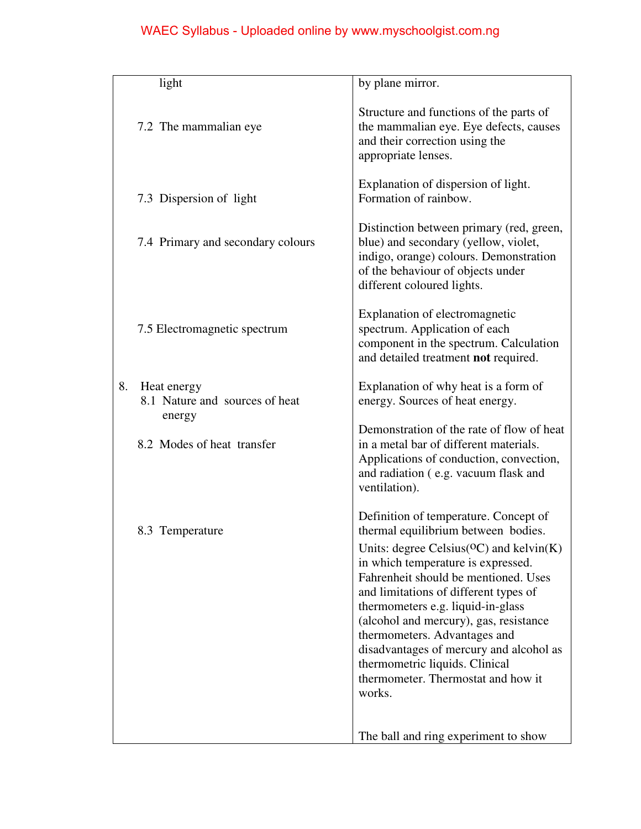| light                                                         | by plane mirror.                                                                                                                                                                                                                                                                                                                                                                                                                                                                                    |
|---------------------------------------------------------------|-----------------------------------------------------------------------------------------------------------------------------------------------------------------------------------------------------------------------------------------------------------------------------------------------------------------------------------------------------------------------------------------------------------------------------------------------------------------------------------------------------|
| 7.2 The mammalian eye                                         | Structure and functions of the parts of<br>the mammalian eye. Eye defects, causes<br>and their correction using the<br>appropriate lenses.                                                                                                                                                                                                                                                                                                                                                          |
| 7.3 Dispersion of light                                       | Explanation of dispersion of light.<br>Formation of rainbow.                                                                                                                                                                                                                                                                                                                                                                                                                                        |
| 7.4 Primary and secondary colours                             | Distinction between primary (red, green,<br>blue) and secondary (yellow, violet,<br>indigo, orange) colours. Demonstration<br>of the behaviour of objects under<br>different coloured lights.                                                                                                                                                                                                                                                                                                       |
| 7.5 Electromagnetic spectrum                                  | Explanation of electromagnetic<br>spectrum. Application of each<br>component in the spectrum. Calculation<br>and detailed treatment not required.                                                                                                                                                                                                                                                                                                                                                   |
| 8.<br>Heat energy<br>8.1 Nature and sources of heat<br>energy | Explanation of why heat is a form of<br>energy. Sources of heat energy.                                                                                                                                                                                                                                                                                                                                                                                                                             |
| 8.2 Modes of heat transfer                                    | Demonstration of the rate of flow of heat<br>in a metal bar of different materials.<br>Applications of conduction, convection,<br>and radiation (e.g. vacuum flask and<br>ventilation).                                                                                                                                                                                                                                                                                                             |
| 8.3 Temperature                                               | Definition of temperature. Concept of<br>thermal equilibrium between bodies.<br>Units: degree Celsius( ${}^{O}C$ ) and kelvin(K)<br>in which temperature is expressed.<br>Fahrenheit should be mentioned. Uses<br>and limitations of different types of<br>thermometers e.g. liquid-in-glass<br>(alcohol and mercury), gas, resistance<br>thermometers. Advantages and<br>disadvantages of mercury and alcohol as<br>thermometric liquids. Clinical<br>thermometer. Thermostat and how it<br>works. |
|                                                               | The ball and ring experiment to show                                                                                                                                                                                                                                                                                                                                                                                                                                                                |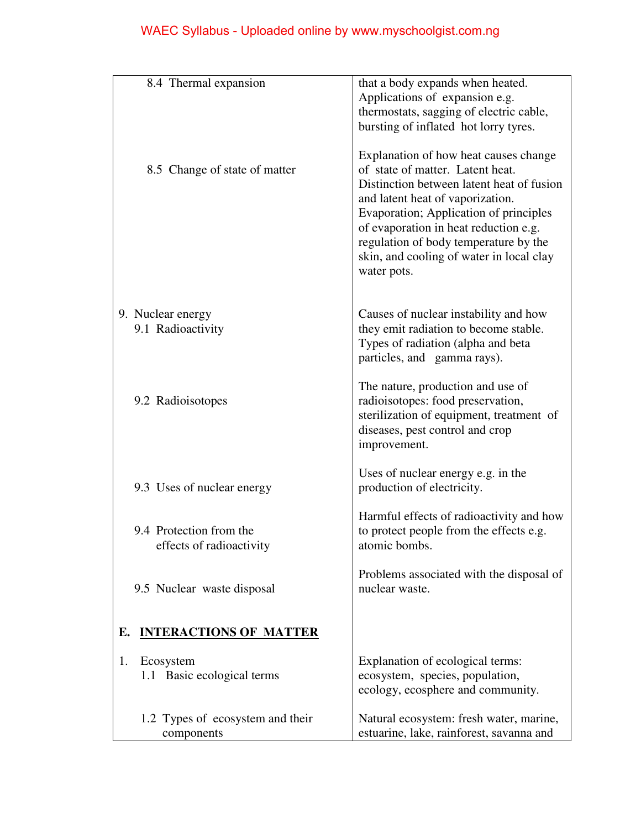| 8.4 Thermal expansion                  | that a body expands when heated.                                                                                                                                                                                                                                                                                                                  |
|----------------------------------------|---------------------------------------------------------------------------------------------------------------------------------------------------------------------------------------------------------------------------------------------------------------------------------------------------------------------------------------------------|
|                                        | Applications of expansion e.g.                                                                                                                                                                                                                                                                                                                    |
|                                        | thermostats, sagging of electric cable,                                                                                                                                                                                                                                                                                                           |
|                                        | bursting of inflated hot lorry tyres.                                                                                                                                                                                                                                                                                                             |
| 8.5 Change of state of matter          | Explanation of how heat causes change<br>of state of matter. Latent heat.<br>Distinction between latent heat of fusion<br>and latent heat of vaporization.<br>Evaporation; Application of principles<br>of evaporation in heat reduction e.g.<br>regulation of body temperature by the<br>skin, and cooling of water in local clay<br>water pots. |
|                                        |                                                                                                                                                                                                                                                                                                                                                   |
|                                        |                                                                                                                                                                                                                                                                                                                                                   |
| 9. Nuclear energy<br>9.1 Radioactivity | Causes of nuclear instability and how<br>they emit radiation to become stable.                                                                                                                                                                                                                                                                    |
|                                        | Types of radiation (alpha and beta                                                                                                                                                                                                                                                                                                                |
|                                        | particles, and gamma rays).                                                                                                                                                                                                                                                                                                                       |
|                                        |                                                                                                                                                                                                                                                                                                                                                   |
|                                        | The nature, production and use of                                                                                                                                                                                                                                                                                                                 |
| 9.2 Radioisotopes                      | radioisotopes: food preservation,                                                                                                                                                                                                                                                                                                                 |
|                                        | sterilization of equipment, treatment of                                                                                                                                                                                                                                                                                                          |
|                                        | diseases, pest control and crop                                                                                                                                                                                                                                                                                                                   |
|                                        | improvement.                                                                                                                                                                                                                                                                                                                                      |
|                                        |                                                                                                                                                                                                                                                                                                                                                   |
|                                        | Uses of nuclear energy e.g. in the                                                                                                                                                                                                                                                                                                                |
| 9.3 Uses of nuclear energy             | production of electricity.                                                                                                                                                                                                                                                                                                                        |
|                                        | Harmful effects of radioactivity and how                                                                                                                                                                                                                                                                                                          |
| 9.4 Protection from the                | to protect people from the effects e.g.                                                                                                                                                                                                                                                                                                           |
| effects of radioactivity               | atomic bombs.                                                                                                                                                                                                                                                                                                                                     |
|                                        |                                                                                                                                                                                                                                                                                                                                                   |
|                                        | Problems associated with the disposal of                                                                                                                                                                                                                                                                                                          |
| 9.5 Nuclear waste disposal             | nuclear waste.                                                                                                                                                                                                                                                                                                                                    |
|                                        |                                                                                                                                                                                                                                                                                                                                                   |
|                                        |                                                                                                                                                                                                                                                                                                                                                   |
| <b>INTERACTIONS OF MATTER</b><br>Е.    |                                                                                                                                                                                                                                                                                                                                                   |
| Ecosystem<br>1.                        | Explanation of ecological terms:                                                                                                                                                                                                                                                                                                                  |
| 1.1 Basic ecological terms             | ecosystem, species, population,                                                                                                                                                                                                                                                                                                                   |
|                                        | ecology, ecosphere and community.                                                                                                                                                                                                                                                                                                                 |
|                                        |                                                                                                                                                                                                                                                                                                                                                   |
| 1.2 Types of ecosystem and their       | Natural ecosystem: fresh water, marine,                                                                                                                                                                                                                                                                                                           |
| components                             | estuarine, lake, rainforest, savanna and                                                                                                                                                                                                                                                                                                          |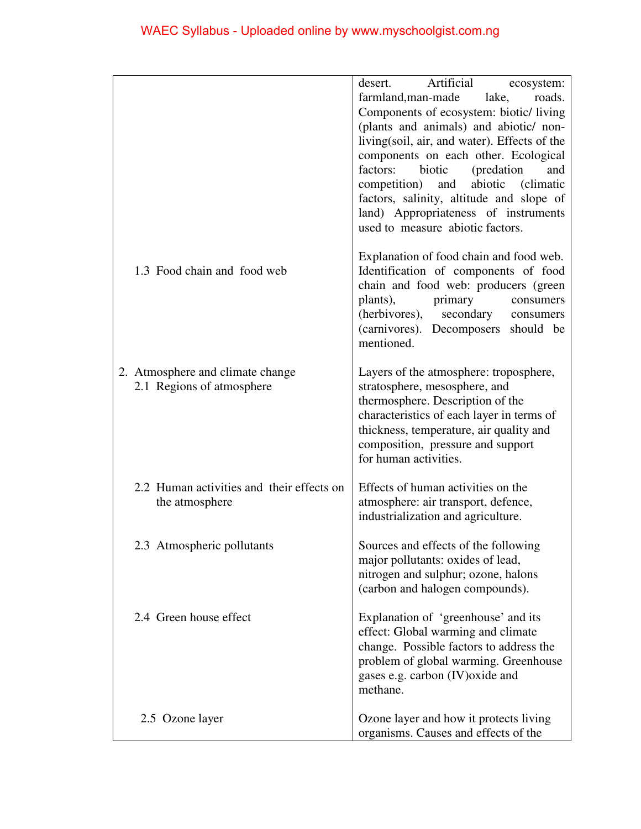|                                           | Artificial<br>desert.<br>ecosystem:<br>roads.                                    |
|-------------------------------------------|----------------------------------------------------------------------------------|
|                                           | farmland, man-made<br>lake,<br>Components of ecosystem: biotic/living            |
|                                           | (plants and animals) and abiotic/ non-                                           |
|                                           | living(soil, air, and water). Effects of the                                     |
|                                           | components on each other. Ecological<br>factors:<br>(predation)<br>biotic<br>and |
|                                           | competition) and<br>abiotic (climatic                                            |
|                                           | factors, salinity, altitude and slope of                                         |
|                                           | land) Appropriateness of instruments<br>used to measure abiotic factors.         |
|                                           | Explanation of food chain and food web.                                          |
| 1.3 Food chain and food web               | Identification of components of food                                             |
|                                           | chain and food web: producers (green<br>primary<br>plants),<br>consumers         |
|                                           | (herbivores), secondary consumers                                                |
|                                           | (carnivores). Decomposers should be                                              |
|                                           | mentioned.                                                                       |
| 2. Atmosphere and climate change          | Layers of the atmosphere: troposphere,                                           |
| 2.1 Regions of atmosphere                 | stratosphere, mesosphere, and                                                    |
|                                           | thermosphere. Description of the<br>characteristics of each layer in terms of    |
|                                           | thickness, temperature, air quality and                                          |
|                                           | composition, pressure and support                                                |
|                                           | for human activities.                                                            |
| 2.2 Human activities and their effects on | Effects of human activities on the                                               |
| the atmosphere                            | atmosphere: air transport, defence,                                              |
|                                           | industrialization and agriculture.                                               |
| 2.3 Atmospheric pollutants                | Sources and effects of the following                                             |
|                                           | major pollutants: oxides of lead,<br>nitrogen and sulphur; ozone, halons         |
|                                           | (carbon and halogen compounds).                                                  |
| 2.4 Green house effect                    | Explanation of 'greenhouse' and its                                              |
|                                           | effect: Global warming and climate                                               |
|                                           | change. Possible factors to address the                                          |
|                                           | problem of global warming. Greenhouse<br>gases e.g. carbon (IV) oxide and        |
|                                           | methane.                                                                         |
| 2.5 Ozone layer                           | Ozone layer and how it protects living                                           |
|                                           | organisms. Causes and effects of the                                             |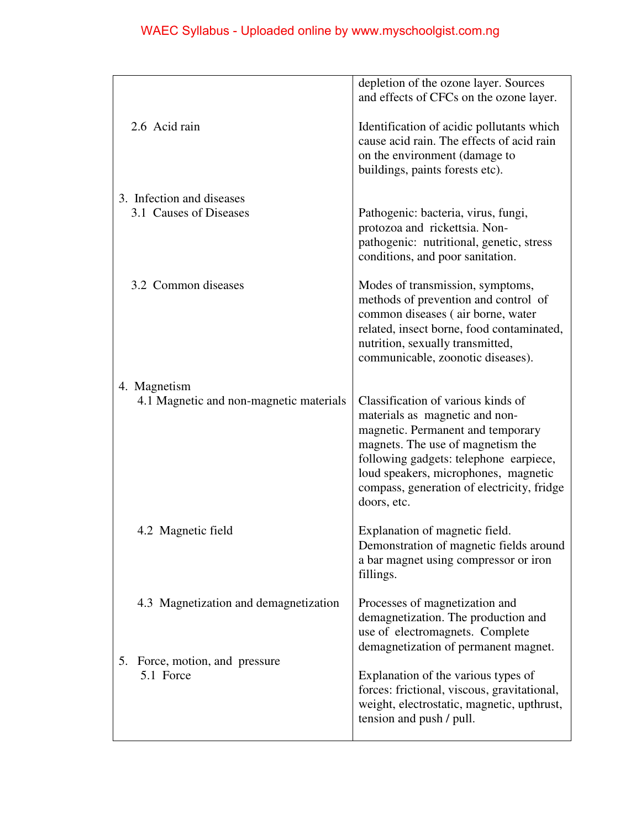|                                                         | depletion of the ozone layer. Sources<br>and effects of CFCs on the ozone layer.                                                                                                                                                                                                              |
|---------------------------------------------------------|-----------------------------------------------------------------------------------------------------------------------------------------------------------------------------------------------------------------------------------------------------------------------------------------------|
| 2.6 Acid rain                                           | Identification of acidic pollutants which<br>cause acid rain. The effects of acid rain<br>on the environment (damage to<br>buildings, paints forests etc).                                                                                                                                    |
| 3. Infection and diseases<br>3.1 Causes of Diseases     | Pathogenic: bacteria, virus, fungi,<br>protozoa and rickettsia. Non-<br>pathogenic: nutritional, genetic, stress<br>conditions, and poor sanitation.                                                                                                                                          |
| 3.2 Common diseases                                     | Modes of transmission, symptoms,<br>methods of prevention and control of<br>common diseases (air borne, water<br>related, insect borne, food contaminated,<br>nutrition, sexually transmitted,<br>communicable, zoonotic diseases).                                                           |
| 4. Magnetism<br>4.1 Magnetic and non-magnetic materials | Classification of various kinds of<br>materials as magnetic and non-<br>magnetic. Permanent and temporary<br>magnets. The use of magnetism the<br>following gadgets: telephone earpiece,<br>loud speakers, microphones, magnetic<br>compass, generation of electricity, fridge<br>doors, etc. |
| 4.2 Magnetic field                                      | Explanation of magnetic field.<br>Demonstration of magnetic fields around<br>a bar magnet using compressor or iron<br>fillings.                                                                                                                                                               |
| 4.3 Magnetization and demagnetization<br>5.             | Processes of magnetization and<br>demagnetization. The production and<br>use of electromagnets. Complete<br>demagnetization of permanent magnet.                                                                                                                                              |
| Force, motion, and pressure<br>5.1 Force                | Explanation of the various types of<br>forces: frictional, viscous, gravitational,<br>weight, electrostatic, magnetic, upthrust,<br>tension and push / pull.                                                                                                                                  |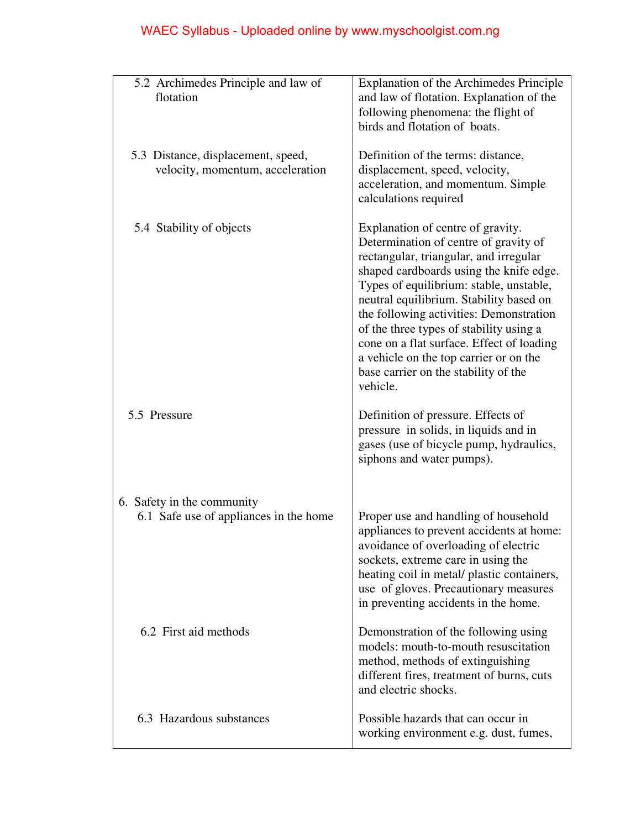| 5.2 Archimedes Principle and law of<br>flotation                       | Explanation of the Archimedes Principle<br>and law of flotation. Explanation of the<br>following phenomena: the flight of<br>birds and flotation of boats.                                                                                                                                                                                                                                                                                                                             |
|------------------------------------------------------------------------|----------------------------------------------------------------------------------------------------------------------------------------------------------------------------------------------------------------------------------------------------------------------------------------------------------------------------------------------------------------------------------------------------------------------------------------------------------------------------------------|
| 5.3 Distance, displacement, speed,<br>velocity, momentum, acceleration | Definition of the terms: distance,<br>displacement, speed, velocity,<br>acceleration, and momentum. Simple<br>calculations required                                                                                                                                                                                                                                                                                                                                                    |
| 5.4 Stability of objects                                               | Explanation of centre of gravity.<br>Determination of centre of gravity of<br>rectangular, triangular, and irregular<br>shaped cardboards using the knife edge.<br>Types of equilibrium: stable, unstable,<br>neutral equilibrium. Stability based on<br>the following activities: Demonstration<br>of the three types of stability using a<br>cone on a flat surface. Effect of loading<br>a vehicle on the top carrier or on the<br>base carrier on the stability of the<br>vehicle. |
| 5.5 Pressure                                                           | Definition of pressure. Effects of<br>pressure in solids, in liquids and in<br>gases (use of bicycle pump, hydraulics,<br>siphons and water pumps).                                                                                                                                                                                                                                                                                                                                    |
|                                                                        |                                                                                                                                                                                                                                                                                                                                                                                                                                                                                        |
| 6. Safety in the community<br>6.1 Safe use of appliances in the home   | Proper use and handling of household<br>appliances to prevent accidents at home:<br>avoidance of overloading of electric<br>sockets, extreme care in using the<br>heating coil in metal/ plastic containers,<br>use of gloves. Precautionary measures<br>in preventing accidents in the home.                                                                                                                                                                                          |
| 6.2 First aid methods                                                  | Demonstration of the following using<br>models: mouth-to-mouth resuscitation<br>method, methods of extinguishing<br>different fires, treatment of burns, cuts<br>and electric shocks.                                                                                                                                                                                                                                                                                                  |
| 6.3 Hazardous substances                                               | Possible hazards that can occur in<br>working environment e.g. dust, fumes,                                                                                                                                                                                                                                                                                                                                                                                                            |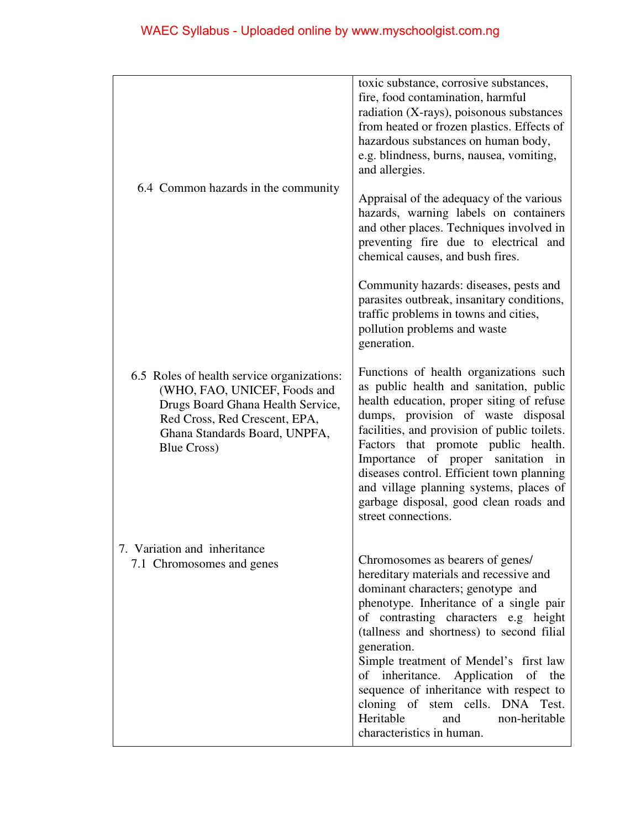|                                                                                                                                                                                                          | toxic substance, corrosive substances,<br>fire, food contamination, harmful<br>radiation (X-rays), poisonous substances<br>from heated or frozen plastics. Effects of<br>hazardous substances on human body,<br>e.g. blindness, burns, nausea, vomiting,<br>and allergies.                                                                                                                                                                                                                      |
|----------------------------------------------------------------------------------------------------------------------------------------------------------------------------------------------------------|-------------------------------------------------------------------------------------------------------------------------------------------------------------------------------------------------------------------------------------------------------------------------------------------------------------------------------------------------------------------------------------------------------------------------------------------------------------------------------------------------|
| 6.4 Common hazards in the community                                                                                                                                                                      | Appraisal of the adequacy of the various<br>hazards, warning labels on containers<br>and other places. Techniques involved in<br>preventing fire due to electrical and<br>chemical causes, and bush fires.                                                                                                                                                                                                                                                                                      |
|                                                                                                                                                                                                          | Community hazards: diseases, pests and<br>parasites outbreak, insanitary conditions,<br>traffic problems in towns and cities,<br>pollution problems and waste<br>generation.                                                                                                                                                                                                                                                                                                                    |
| 6.5 Roles of health service organizations:<br>(WHO, FAO, UNICEF, Foods and<br>Drugs Board Ghana Health Service,<br>Red Cross, Red Crescent, EPA,<br>Ghana Standards Board, UNPFA,<br><b>Blue Cross</b> ) | Functions of health organizations such<br>as public health and sanitation, public<br>health education, proper siting of refuse<br>dumps, provision of waste disposal<br>facilities, and provision of public toilets.<br>Factors that promote public health.<br>Importance of proper sanitation<br>in<br>diseases control. Efficient town planning<br>and village planning systems, places of<br>garbage disposal, good clean roads and<br>street connections.                                   |
| 7. Variation and inheritance<br>7.1 Chromosomes and genes                                                                                                                                                | Chromosomes as bearers of genes/<br>hereditary materials and recessive and<br>dominant characters; genotype and<br>phenotype. Inheritance of a single pair<br>of contrasting characters e.g height<br>(tallness and shortness) to second filial<br>generation.<br>Simple treatment of Mendel's first law<br>of inheritance. Application of the<br>sequence of inheritance with respect to<br>cloning of stem cells. DNA Test.<br>Heritable<br>and<br>non-heritable<br>characteristics in human. |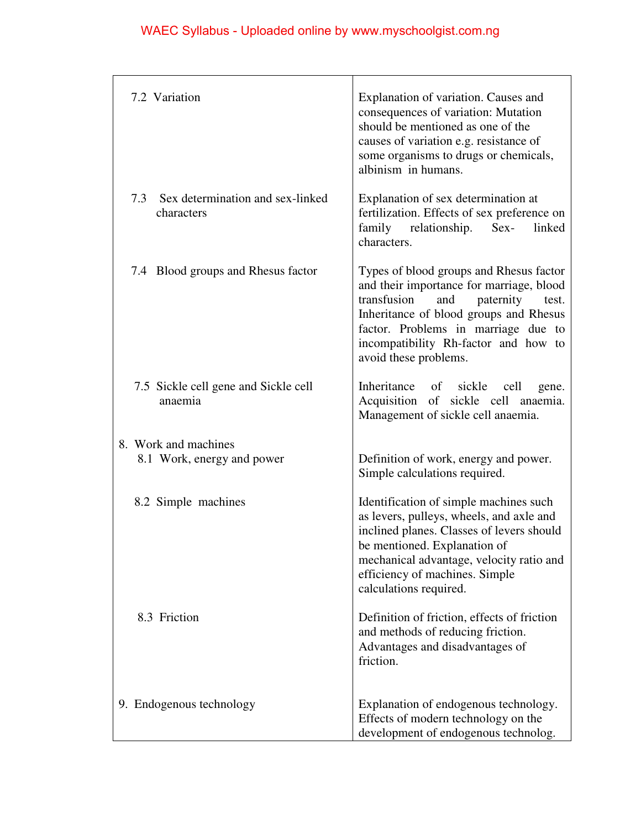| 7.2 Variation                                      | Explanation of variation. Causes and<br>consequences of variation: Mutation<br>should be mentioned as one of the<br>causes of variation e.g. resistance of<br>some organisms to drugs or chemicals,<br>albinism in humans.                                                        |
|----------------------------------------------------|-----------------------------------------------------------------------------------------------------------------------------------------------------------------------------------------------------------------------------------------------------------------------------------|
| 7.3 Sex determination and sex-linked<br>characters | Explanation of sex determination at<br>fertilization. Effects of sex preference on<br>family relationship.<br>$Sex-$<br>linked<br>characters.                                                                                                                                     |
| 7.4 Blood groups and Rhesus factor                 | Types of blood groups and Rhesus factor<br>and their importance for marriage, blood<br>transfusion<br>paternity<br>and<br>test.<br>Inheritance of blood groups and Rhesus<br>factor. Problems in marriage due to<br>incompatibility Rh-factor and how to<br>avoid these problems. |
| 7.5 Sickle cell gene and Sickle cell<br>anaemia    | Inheritance of sickle<br>cell<br>gene.<br>Acquisition of sickle cell anaemia.<br>Management of sickle cell anaemia.                                                                                                                                                               |
| 8. Work and machines                               |                                                                                                                                                                                                                                                                                   |
| 8.1 Work, energy and power                         | Definition of work, energy and power.<br>Simple calculations required.                                                                                                                                                                                                            |
| 8.2 Simple machines                                | Identification of simple machines such<br>as levers, pulleys, wheels, and axle and<br>inclined planes. Classes of levers should<br>be mentioned. Explanation of<br>mechanical advantage, velocity ratio and<br>efficiency of machines. Simple<br>calculations required.           |
| 8.3 Friction                                       | Definition of friction, effects of friction<br>and methods of reducing friction.<br>Advantages and disadvantages of<br>friction.                                                                                                                                                  |
| 9. Endogenous technology                           | Explanation of endogenous technology.<br>Effects of modern technology on the<br>development of endogenous technolog.                                                                                                                                                              |